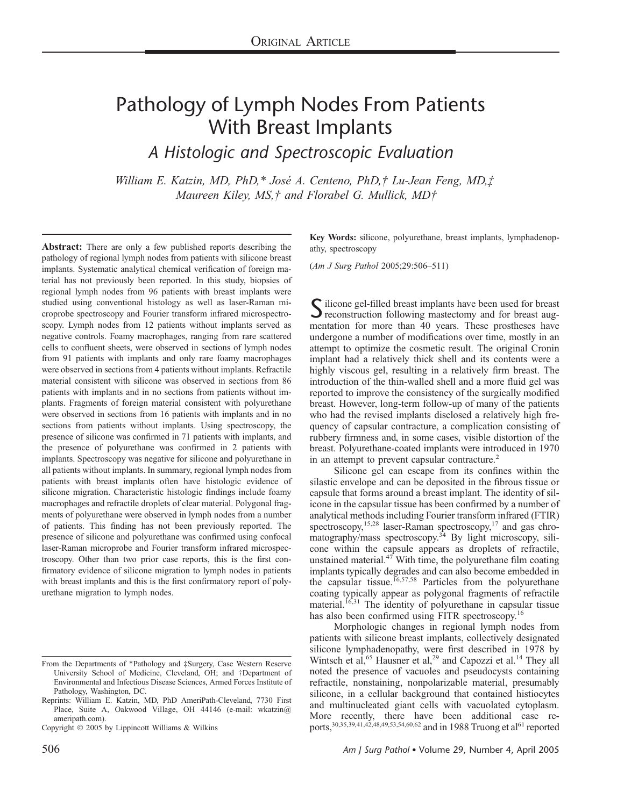# Pathology of Lymph Nodes From Patients With Breast Implants

A Histologic and Spectroscopic Evaluation

William E. Katzin, MD, PhD,\* José A. Centeno, PhD,† Lu-Jean Feng, MD,‡ Maureen Kiley, MS, † and Florabel G. Mullick, MD†

Abstract: There are only a few published reports describing the pathology of regional lymph nodes from patients with silicone breast implants. Systematic analytical chemical verification of foreign material has not previously been reported. In this study, biopsies of regional lymph nodes from 96 patients with breast implants were studied using conventional histology as well as laser-Raman microprobe spectroscopy and Fourier transform infrared microspectroscopy. Lymph nodes from 12 patients without implants served as negative controls. Foamy macrophages, ranging from rare scattered cells to confluent sheets, were observed in sections of lymph nodes from 91 patients with implants and only rare foamy macrophages were observed in sections from 4 patients without implants. Refractile material consistent with silicone was observed in sections from 86 patients with implants and in no sections from patients without implants. Fragments of foreign material consistent with polyurethane were observed in sections from 16 patients with implants and in no sections from patients without implants. Using spectroscopy, the presence of silicone was confirmed in 71 patients with implants, and the presence of polyurethane was confirmed in 2 patients with implants. Spectroscopy was negative for silicone and polyurethane in all patients without implants. In summary, regional lymph nodes from patients with breast implants often have histologic evidence of silicone migration. Characteristic histologic findings include foamy macrophages and refractile droplets of clear material. Polygonal fragments of polyurethane were observed in lymph nodes from a number of patients. This finding has not been previously reported. The presence of silicone and polyurethane was confirmed using confocal laser-Raman microprobe and Fourier transform infrared microspectroscopy. Other than two prior case reports, this is the first confirmatory evidence of silicone migration to lymph nodes in patients with breast implants and this is the first confirmatory report of polyurethane migration to lymph nodes.

Key Words: silicone, polyurethane, breast implants, lymphadenopathy, spectroscopy

(Am J Surg Pathol 2005;29:506–511)

Silicone gel-filled breast implants have been used for breast aug-<br>reconstruction following mastectomy and for breast augmentation for more than 40 years. These prostheses have undergone a number of modifications over time, mostly in an attempt to optimize the cosmetic result. The original Cronin implant had a relatively thick shell and its contents were a highly viscous gel, resulting in a relatively firm breast. The introduction of the thin-walled shell and a more fluid gel was reported to improve the consistency of the surgically modified breast. However, long-term follow-up of many of the patients who had the revised implants disclosed a relatively high frequency of capsular contracture, a complication consisting of rubbery firmness and, in some cases, visible distortion of the breast. Polyurethane-coated implants were introduced in 1970 in an attempt to prevent capsular contracture.<sup>2</sup>

Silicone gel can escape from its confines within the silastic envelope and can be deposited in the fibrous tissue or capsule that forms around a breast implant. The identity of silicone in the capsular tissue has been confirmed by a number of analytical methods including Fourier transform infrared (FTIR) spectroscopy,<sup>15,28</sup> laser-Raman spectroscopy,<sup>17</sup> and gas chromatography/mass spectroscopy.<sup>34</sup> By light microscopy, silicone within the capsule appears as droplets of refractile, unstained material. $47$  With time, the polyurethane film coating implants typically degrades and can also become embedded in the capsular tissue.<sup>16,57,58</sup> Particles from the polyurethane coating typically appear as polygonal fragments of refractile material.<sup>16,31</sup> The identity of polyurethane in capsular tissue has also been confirmed using FITR spectroscopy.<sup>16</sup>

Morphologic changes in regional lymph nodes from patients with silicone breast implants, collectively designated silicone lymphadenopathy, were first described in 1978 by Wintsch et al,<sup>65</sup> Hausner et al,<sup>29</sup> and Capozzi et al.<sup>14</sup> They all noted the presence of vacuoles and pseudocysts containing refractile, nonstaining, nonpolarizable material, presumably silicone, in a cellular background that contained histiocytes and multinucleated giant cells with vacuolated cytoplasm. More recently, there have been additional case reports,<sup>30,35,39,41,42,48,49,53,54,60,62</sup> and in 1988 Truong et al<sup>61</sup> reported

From the Departments of \*Pathology and ‡Surgery, Case Western Reserve University School of Medicine, Cleveland, OH; and †Department of Environmental and Infectious Disease Sciences, Armed Forces Institute of Pathology, Washington, DC.

Reprints: William E. Katzin, MD, PhD AmeriPath-Cleveland, 7730 First Place, Suite A, Oakwood Village, OH 44146 (e-mail: wkatzin@ ameripath.com).

Copyright 2005 by Lippincott Williams & Wilkins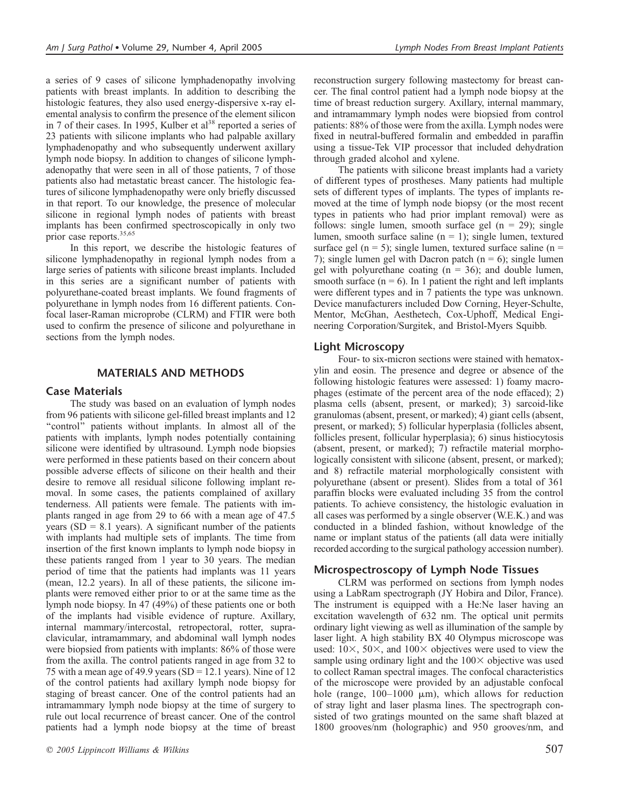a series of 9 cases of silicone lymphadenopathy involving patients with breast implants. In addition to describing the histologic features, they also used energy-dispersive x-ray elemental analysis to confirm the presence of the element silicon in 7 of their cases. In 1995, Kulber et  $al^{38}$  reported a series of 23 patients with silicone implants who had palpable axillary lymphadenopathy and who subsequently underwent axillary lymph node biopsy. In addition to changes of silicone lymphadenopathy that were seen in all of those patients, 7 of those patients also had metastatic breast cancer. The histologic features of silicone lymphadenopathy were only briefly discussed in that report. To our knowledge, the presence of molecular silicone in regional lymph nodes of patients with breast implants has been confirmed spectroscopically in only two prior case reports.35,65

In this report, we describe the histologic features of silicone lymphadenopathy in regional lymph nodes from a large series of patients with silicone breast implants. Included in this series are a significant number of patients with polyurethane-coated breast implants. We found fragments of polyurethane in lymph nodes from 16 different patients. Confocal laser-Raman microprobe (CLRM) and FTIR were both used to confirm the presence of silicone and polyurethane in sections from the lymph nodes.

### MATERIALS AND METHODS

## Case Materials

The study was based on an evaluation of lymph nodes from 96 patients with silicone gel-filled breast implants and 12 ''control'' patients without implants. In almost all of the patients with implants, lymph nodes potentially containing silicone were identified by ultrasound. Lymph node biopsies were performed in these patients based on their concern about possible adverse effects of silicone on their health and their desire to remove all residual silicone following implant removal. In some cases, the patients complained of axillary tenderness. All patients were female. The patients with implants ranged in age from 29 to 66 with a mean age of 47.5 years ( $SD = 8.1$  years). A significant number of the patients with implants had multiple sets of implants. The time from insertion of the first known implants to lymph node biopsy in these patients ranged from 1 year to 30 years. The median period of time that the patients had implants was 11 years (mean, 12.2 years). In all of these patients, the silicone implants were removed either prior to or at the same time as the lymph node biopsy. In 47 (49%) of these patients one or both of the implants had visible evidence of rupture. Axillary, internal mammary/intercostal, retropectoral, rotter, supraclavicular, intramammary, and abdominal wall lymph nodes were biopsied from patients with implants: 86% of those were from the axilla. The control patients ranged in age from 32 to 75 with a mean age of 49.9 years (SD = 12.1 years). Nine of 12 of the control patients had axillary lymph node biopsy for staging of breast cancer. One of the control patients had an intramammary lymph node biopsy at the time of surgery to rule out local recurrence of breast cancer. One of the control patients had a lymph node biopsy at the time of breast reconstruction surgery following mastectomy for breast cancer. The final control patient had a lymph node biopsy at the time of breast reduction surgery. Axillary, internal mammary, and intramammary lymph nodes were biopsied from control patients: 88% of those were from the axilla. Lymph nodes were fixed in neutral-buffered formalin and embedded in paraffin using a tissue-Tek VIP processor that included dehydration through graded alcohol and xylene.

The patients with silicone breast implants had a variety of different types of prostheses. Many patients had multiple sets of different types of implants. The types of implants removed at the time of lymph node biopsy (or the most recent types in patients who had prior implant removal) were as follows: single lumen, smooth surface gel  $(n = 29)$ ; single lumen, smooth surface saline  $(n = 1)$ ; single lumen, textured surface gel ( $n = 5$ ); single lumen, textured surface saline ( $n =$ 7); single lumen gel with Dacron patch  $(n = 6)$ ; single lumen gel with polyurethane coating  $(n = 36)$ ; and double lumen, smooth surface  $(n = 6)$ . In 1 patient the right and left implants were different types and in 7 patients the type was unknown. Device manufacturers included Dow Corning, Heyer-Schulte, Mentor, McGhan, Aesthetech, Cox-Uphoff, Medical Engineering Corporation/Surgitek, and Bristol-Myers Squibb.

## Light Microscopy

Four- to six-micron sections were stained with hematoxylin and eosin. The presence and degree or absence of the following histologic features were assessed: 1) foamy macrophages (estimate of the percent area of the node effaced); 2) plasma cells (absent, present, or marked); 3) sarcoid-like granulomas (absent, present, or marked); 4) giant cells (absent, present, or marked); 5) follicular hyperplasia (follicles absent, follicles present, follicular hyperplasia); 6) sinus histiocytosis (absent, present, or marked); 7) refractile material morphologically consistent with silicone (absent, present, or marked); and 8) refractile material morphologically consistent with polyurethane (absent or present). Slides from a total of 361 paraffin blocks were evaluated including 35 from the control patients. To achieve consistency, the histologic evaluation in all cases was performed by a single observer (W.E.K.) and was conducted in a blinded fashion, without knowledge of the name or implant status of the patients (all data were initially recorded according to the surgical pathology accession number).

## Microspectroscopy of Lymph Node Tissues

CLRM was performed on sections from lymph nodes using a LabRam spectrograph (JY Hobira and Dilor, France). The instrument is equipped with a He:Ne laser having an excitation wavelength of 632 nm. The optical unit permits ordinary light viewing as well as illumination of the sample by laser light. A high stability BX 40 Olympus microscope was used:  $10\times$ ,  $50\times$ , and  $100\times$  objectives were used to view the sample using ordinary light and the  $100\times$  objective was used to collect Raman spectral images. The confocal characteristics of the microscope were provided by an adjustable confocal hole (range,  $100-1000 \mu m$ ), which allows for reduction of stray light and laser plasma lines. The spectrograph consisted of two gratings mounted on the same shaft blazed at 1800 grooves/nm (holographic) and 950 grooves/nm, and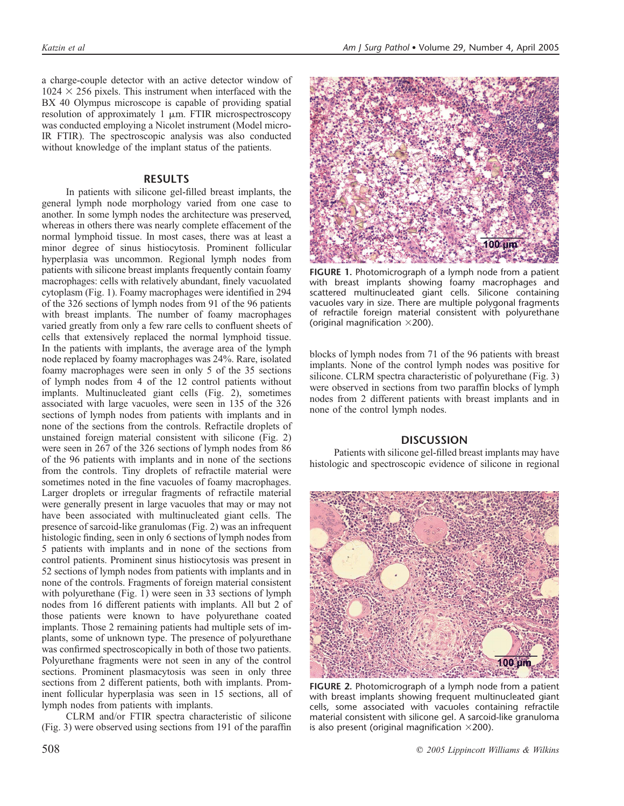a charge-couple detector with an active detector window of  $1024 \times 256$  pixels. This instrument when interfaced with the BX 40 Olympus microscope is capable of providing spatial resolution of approximately  $1 \mu m$ . FTIR microspectroscopy was conducted employing a Nicolet instrument (Model micro-IR FTIR). The spectroscopic analysis was also conducted without knowledge of the implant status of the patients.

## RESULTS

In patients with silicone gel-filled breast implants, the general lymph node morphology varied from one case to another. In some lymph nodes the architecture was preserved, whereas in others there was nearly complete effacement of the normal lymphoid tissue. In most cases, there was at least a minor degree of sinus histiocytosis. Prominent follicular hyperplasia was uncommon. Regional lymph nodes from patients with silicone breast implants frequently contain foamy macrophages: cells with relatively abundant, finely vacuolated cytoplasm (Fig. 1). Foamy macrophages were identified in 294 of the 326 sections of lymph nodes from 91 of the 96 patients with breast implants. The number of foamy macrophages varied greatly from only a few rare cells to confluent sheets of cells that extensively replaced the normal lymphoid tissue. In the patients with implants, the average area of the lymph node replaced by foamy macrophages was 24%. Rare, isolated foamy macrophages were seen in only 5 of the 35 sections of lymph nodes from 4 of the 12 control patients without implants. Multinucleated giant cells (Fig. 2), sometimes associated with large vacuoles, were seen in 135 of the 326 sections of lymph nodes from patients with implants and in none of the sections from the controls. Refractile droplets of unstained foreign material consistent with silicone (Fig. 2) were seen in 267 of the 326 sections of lymph nodes from 86 of the 96 patients with implants and in none of the sections from the controls. Tiny droplets of refractile material were sometimes noted in the fine vacuoles of foamy macrophages. Larger droplets or irregular fragments of refractile material were generally present in large vacuoles that may or may not have been associated with multinucleated giant cells. The presence of sarcoid-like granulomas (Fig. 2) was an infrequent histologic finding, seen in only 6 sections of lymph nodes from 5 patients with implants and in none of the sections from control patients. Prominent sinus histiocytosis was present in 52 sections of lymph nodes from patients with implants and in none of the controls. Fragments of foreign material consistent with polyurethane (Fig. 1) were seen in 33 sections of lymph nodes from 16 different patients with implants. All but 2 of those patients were known to have polyurethane coated implants. Those 2 remaining patients had multiple sets of implants, some of unknown type. The presence of polyurethane was confirmed spectroscopically in both of those two patients. Polyurethane fragments were not seen in any of the control sections. Prominent plasmacytosis was seen in only three sections from 2 different patients, both with implants. Prominent follicular hyperplasia was seen in 15 sections, all of lymph nodes from patients with implants.

CLRM and/or FTIR spectra characteristic of silicone (Fig. 3) were observed using sections from 191 of the paraffin



FIGURE 1. Photomicrograph of a lymph node from a patient with breast implants showing foamy macrophages and scattered multinucleated giant cells. Silicone containing vacuoles vary in size. There are multiple polygonal fragments of refractile foreign material consistent with polyurethane (original magnification  $\times$ 200).

blocks of lymph nodes from 71 of the 96 patients with breast implants. None of the control lymph nodes was positive for silicone. CLRM spectra characteristic of polyurethane (Fig. 3) were observed in sections from two paraffin blocks of lymph nodes from 2 different patients with breast implants and in none of the control lymph nodes.

## **DISCUSSION**

Patients with silicone gel-filled breast implants may have histologic and spectroscopic evidence of silicone in regional



FIGURE 2. Photomicrograph of a lymph node from a patient with breast implants showing frequent multinucleated giant cells, some associated with vacuoles containing refractile material consistent with silicone gel. A sarcoid-like granuloma is also present (original magnification  $\times$ 200).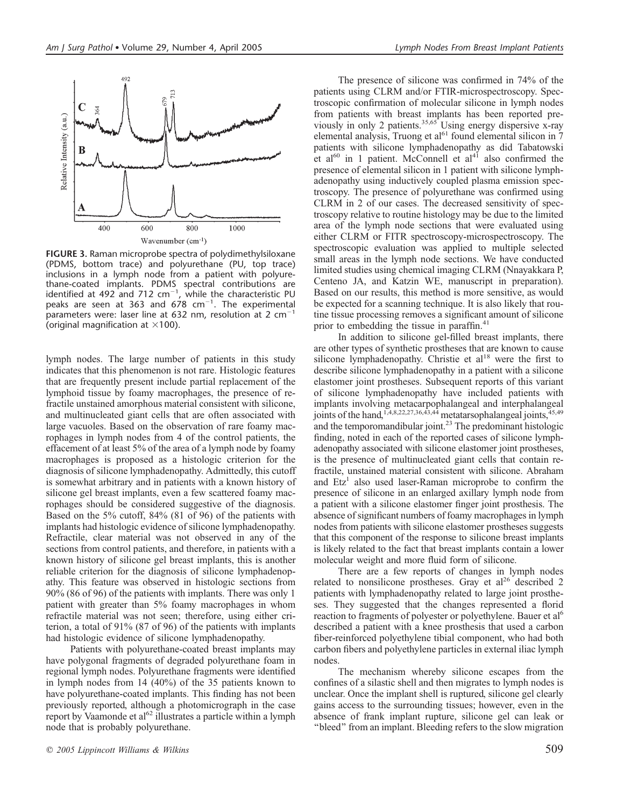

FIGURE 3. Raman microprobe spectra of polydimethylsiloxane (PDMS, bottom trace) and polyurethane (PU, top trace) inclusions in a lymph node from a patient with polyurethane-coated implants. PDMS spectral contributions are identified at 492 and 712  $cm^{-1}$ , while the characteristic PU peaks are seen at 363 and 678  $cm^{-1}$ . The experimental parameters were: laser line at 632 nm, resolution at 2  $cm^{-1}$ (original magnification at  $\times$ 100).

lymph nodes. The large number of patients in this study indicates that this phenomenon is not rare. Histologic features that are frequently present include partial replacement of the lymphoid tissue by foamy macrophages, the presence of refractile unstained amorphous material consistent with silicone, and multinucleated giant cells that are often associated with large vacuoles. Based on the observation of rare foamy macrophages in lymph nodes from 4 of the control patients, the effacement of at least 5% of the area of a lymph node by foamy macrophages is proposed as a histologic criterion for the diagnosis of silicone lymphadenopathy. Admittedly, this cutoff is somewhat arbitrary and in patients with a known history of silicone gel breast implants, even a few scattered foamy macrophages should be considered suggestive of the diagnosis. Based on the 5% cutoff, 84% (81 of 96) of the patients with implants had histologic evidence of silicone lymphadenopathy. Refractile, clear material was not observed in any of the sections from control patients, and therefore, in patients with a known history of silicone gel breast implants, this is another reliable criterion for the diagnosis of silicone lymphadenopathy. This feature was observed in histologic sections from 90% (86 of 96) of the patients with implants. There was only 1 patient with greater than 5% foamy macrophages in whom refractile material was not seen; therefore, using either criterion, a total of 91% (87 of 96) of the patients with implants had histologic evidence of silicone lymphadenopathy.

Patients with polyurethane-coated breast implants may have polygonal fragments of degraded polyurethane foam in regional lymph nodes. Polyurethane fragments were identified in lymph nodes from 14 (40%) of the 35 patients known to have polyurethane-coated implants. This finding has not been previously reported, although a photomicrograph in the case report by Vaamonde et al<sup>62</sup> illustrates a particle within a lymph node that is probably polyurethane.

The presence of silicone was confirmed in 74% of the patients using CLRM and/or FTIR-microspectroscopy. Spectroscopic confirmation of molecular silicone in lymph nodes from patients with breast implants has been reported previously in only 2 patients.<sup>35,65</sup> Using energy dispersive x-ray elemental analysis, Truong et al $^{61}$  found elemental silicon in  $\overline{7}$ patients with silicone lymphadenopathy as did Tabatowski et al<sup>60</sup> in 1 patient. McConnell et al<sup>41</sup> also confirmed the presence of elemental silicon in 1 patient with silicone lymphadenopathy using inductively coupled plasma emission spectroscopy. The presence of polyurethane was confirmed using CLRM in 2 of our cases. The decreased sensitivity of spectroscopy relative to routine histology may be due to the limited area of the lymph node sections that were evaluated using either CLRM or FITR spectroscopy-microspectroscopy. The spectroscopic evaluation was applied to multiple selected small areas in the lymph node sections. We have conducted limited studies using chemical imaging CLRM (Nnayakkara P, Centeno JA, and Katzin WE, manuscript in preparation). Based on our results, this method is more sensitive, as would be expected for a scanning technique. It is also likely that routine tissue processing removes a significant amount of silicone prior to embedding the tissue in paraffin.<sup>41</sup>

In addition to silicone gel-filled breast implants, there are other types of synthetic prostheses that are known to cause silicone lymphadenopathy. Christie et  $al<sup>18</sup>$  were the first to describe silicone lymphadenopathy in a patient with a silicone elastomer joint prostheses. Subsequent reports of this variant of silicone lymphadenopathy have included patients with implants involving metacarpophalangeal and interphalangeal joints of the hand,<sup>1,4,8,22,27,36,43,44</sup> metatarsophalangeal joints,<sup>45,49</sup> and the temporomandibular joint.<sup>23</sup> The predominant histologic finding, noted in each of the reported cases of silicone lymphadenopathy associated with silicone elastomer joint prostheses, is the presence of multinucleated giant cells that contain refractile, unstained material consistent with silicone. Abraham and  $Etz<sup>1</sup>$  also used laser-Raman microprobe to confirm the presence of silicone in an enlarged axillary lymph node from a patient with a silicone elastomer finger joint prosthesis. The absence of significant numbers of foamy macrophages in lymph nodes from patients with silicone elastomer prostheses suggests that this component of the response to silicone breast implants is likely related to the fact that breast implants contain a lower molecular weight and more fluid form of silicone.

There are a few reports of changes in lymph nodes related to nonsilicone prostheses. Gray et  $al^{26}$  described 2 patients with lymphadenopathy related to large joint prostheses. They suggested that the changes represented a florid reaction to fragments of polyester or polyethylene. Bauer et al<sup>6</sup> described a patient with a knee prosthesis that used a carbon fiber-reinforced polyethylene tibial component, who had both carbon fibers and polyethylene particles in external iliac lymph nodes.

The mechanism whereby silicone escapes from the confines of a silastic shell and then migrates to lymph nodes is unclear. Once the implant shell is ruptured, silicone gel clearly gains access to the surrounding tissues; however, even in the absence of frank implant rupture, silicone gel can leak or ''bleed'' from an implant. Bleeding refers to the slow migration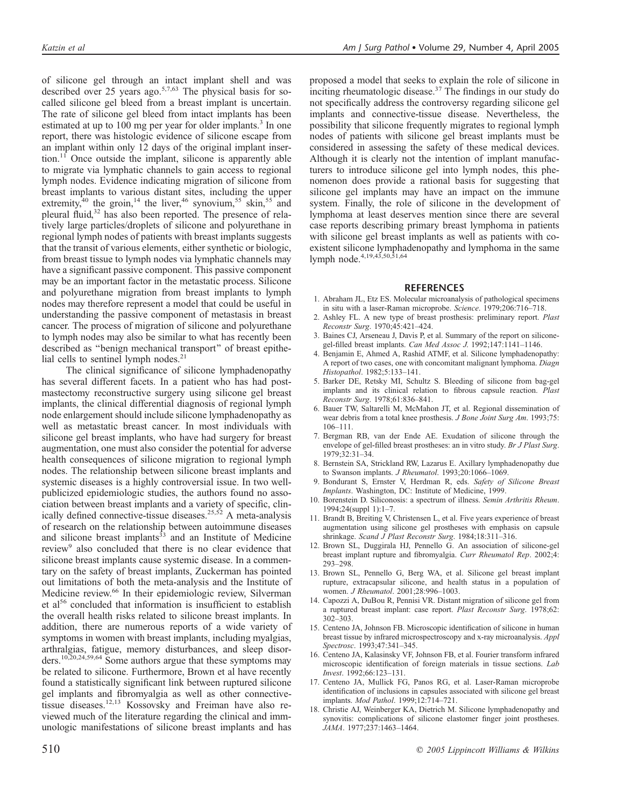of silicone gel through an intact implant shell and was described over 25 years ago.<sup>5,7,63</sup> The physical basis for socalled silicone gel bleed from a breast implant is uncertain. The rate of silicone gel bleed from intact implants has been estimated at up to 100 mg per year for older implants.<sup>3</sup> In one report, there was histologic evidence of silicone escape from an implant within only 12 days of the original implant insertion. $11$  Once outside the implant, silicone is apparently able to migrate via lymphatic channels to gain access to regional lymph nodes. Evidence indicating migration of silicone from breast implants to various distant sites, including the upper extremity,<sup>40</sup> the groin,<sup>14</sup> the liver,<sup>46</sup> synovium,<sup>55</sup> skin,<sup>55</sup> and pleural fluid,<sup>32</sup> has also been reported. The presence of relatively large particles/droplets of silicone and polyurethane in regional lymph nodes of patients with breast implants suggests that the transit of various elements, either synthetic or biologic, from breast tissue to lymph nodes via lymphatic channels may have a significant passive component. This passive component may be an important factor in the metastatic process. Silicone and polyurethane migration from breast implants to lymph nodes may therefore represent a model that could be useful in understanding the passive component of metastasis in breast cancer. The process of migration of silicone and polyurethane to lymph nodes may also be similar to what has recently been described as ''benign mechanical transport'' of breast epithelial cells to sentinel lymph nodes.<sup>21</sup>

The clinical significance of silicone lymphadenopathy has several different facets. In a patient who has had postmastectomy reconstructive surgery using silicone gel breast implants, the clinical differential diagnosis of regional lymph node enlargement should include silicone lymphadenopathy as well as metastatic breast cancer. In most individuals with silicone gel breast implants, who have had surgery for breast augmentation, one must also consider the potential for adverse health consequences of silicone migration to regional lymph nodes. The relationship between silicone breast implants and systemic diseases is a highly controversial issue. In two wellpublicized epidemiologic studies, the authors found no association between breast implants and a variety of specific, clinically defined connective-tissue diseases.<sup>25,52</sup> A meta-analysis of research on the relationship between autoimmune diseases and silicone breast implants $33$  and an Institute of Medicine review<sup>9</sup> also concluded that there is no clear evidence that silicone breast implants cause systemic disease. In a commentary on the safety of breast implants, Zuckerman has pointed out limitations of both the meta-analysis and the Institute of Medicine review.<sup>66</sup> In their epidemiologic review, Silverman et al<sup>56</sup> concluded that information is insufficient to establish the overall health risks related to silicone breast implants. In addition, there are numerous reports of a wide variety of symptoms in women with breast implants, including myalgias, arthralgias, fatigue, memory disturbances, and sleep disorders.10,20,24,59,64 Some authors argue that these symptoms may be related to silicone. Furthermore, Brown et al have recently found a statistically significant link between ruptured silicone gel implants and fibromyalgia as well as other connectivetissue diseases.12,13 Kossovsky and Freiman have also reviewed much of the literature regarding the clinical and immunologic manifestations of silicone breast implants and has

proposed a model that seeks to explain the role of silicone in inciting rheumatologic disease.<sup>37</sup> The findings in our study do not specifically address the controversy regarding silicone gel implants and connective-tissue disease. Nevertheless, the possibility that silicone frequently migrates to regional lymph nodes of patients with silicone gel breast implants must be considered in assessing the safety of these medical devices. Although it is clearly not the intention of implant manufacturers to introduce silicone gel into lymph nodes, this phenomenon does provide a rational basis for suggesting that silicone gel implants may have an impact on the immune system. Finally, the role of silicone in the development of lymphoma at least deserves mention since there are several case reports describing primary breast lymphoma in patients with silicone gel breast implants as well as patients with coexistent silicone lymphadenopathy and lymphoma in the same lymph node.4,19,43,50,51,64

#### **REFERENCES**

- 1. Abraham JL, Etz ES. Molecular microanalysis of pathological specimens in situ with a laser-Raman microprobe. Science. 1979;206:716–718.
- 2. Ashley FL. A new type of breast prosthesis: preliminary report. Plast Reconstr Surg. 1970;45:421–424.
- 3. Baines CJ, Arseneau J, Davis P, et al. Summary of the report on siliconegel-filled breast implants. Can Med Assoc J. 1992;147:1141–1146.
- 4. Benjamin E, Ahmed A, Rashid ATMF, et al. Silicone lymphadenopathy: A report of two cases, one with concomitant malignant lymphoma. Diagn Histopathol. 1982;5:133–141.
- 5. Barker DE, Retsky MI, Schultz S. Bleeding of silicone from bag-gel implants and its clinical relation to fibrous capsule reaction. Plast Reconstr Surg. 1978;61:836–841.
- 6. Bauer TW, Saltarelli M, McMahon JT, et al. Regional dissemination of wear debris from a total knee prosthesis. J Bone Joint Surg Am. 1993;75: 106–111.
- 7. Bergman RB, van der Ende AE. Exudation of silicone through the envelope of gel-filled breast prostheses: an in vitro study. Br J Plast Surg. 1979;32:31–34.
- 8. Bernstein SA, Strickland RW, Lazarus E. Axillary lymphadenopathy due to Swanson implants. J Rheumatol. 1993;20:1066–1069.
- 9. Bondurant S, Ernster V, Herdman R, eds. Safety of Silicone Breast Implants. Washington, DC: Institute of Medicine, 1999.
- Borenstein D. Siliconosis: a spectrum of illness. Semin Arthritis Rheum. 1994;24(suppl 1):1–7.
- 11. Brandt B, Breiting V, Christensen L, et al. Five years experience of breast augmentation using silicone gel prostheses with emphasis on capsule shrinkage. Scand J Plast Reconstr Surg. 1984;18:311–316.
- 12. Brown SL, Duggirala HJ, Pennello G. An association of silicone-gel breast implant rupture and fibromyalgia. Curr Rheumatol Rep. 2002;4: 293–298.
- 13. Brown SL, Pennello G, Berg WA, et al. Silicone gel breast implant rupture, extracapsular silicone, and health status in a population of women. J Rheumatol. 2001;28:996–1003.
- 14. Capozzi A, DuBou R, Pennisi VR. Distant migration of silicone gel from a ruptured breast implant: case report. Plast Reconstr Surg. 1978;62: 302–303.
- 15. Centeno JA, Johnson FB. Microscopic identification of silicone in human breast tissue by infrared microspectroscopy and x-ray microanalysis. Appl Spectrosc. 1993;47:341–345.
- 16. Centeno JA, Kalasinsky VF, Johnson FB, et al. Fourier transform infrared microscopic identification of foreign materials in tissue sections. Lab Invest. 1992;66:123–131.
- 17. Centeno JA, Mullick FG, Panos RG, et al. Laser-Raman microprobe identification of inclusions in capsules associated with silicone gel breast implants. Mod Pathol. 1999;12:714–721.
- 18. Christie AJ, Weinberger KA, Dietrich M. Silicone lymphadenopathy and synovitis: complications of silicone elastomer finger joint prostheses. JAMA. 1977;237:1463–1464.